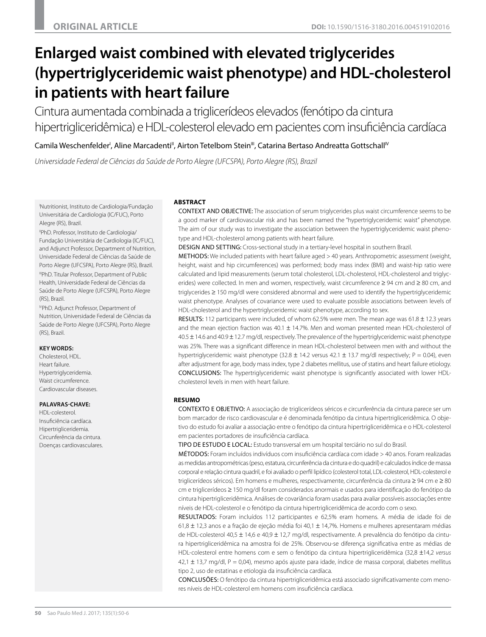# **Enlarged waist combined with elevated triglycerides (hypertriglyceridemic waist phenotype) and HDL-cholesterol in patients with heart failure**

Cintura aumentada combinada a triglicerídeos elevados (fenótipo da cintura hipertrigliceridêmica) e HDL-colesterol elevado em pacientes com insuficiência cardíaca

Camila Weschenfelder', Aline Marcadenti", Airton Tetelbom Stein'", Catarina Bertaso Andreatta Gottschall'<sup>v</sup>

*Universidade Federal de Ciências da Saúde de Porto Alegre (UFCSPA), Porto Alegre (RS), Brazil*

I Nutritionist, Instituto de Cardiologia/Fundação Universitária de Cardiologia (IC/FUC), Porto Alegre (RS), Brazil.

IIPhD. Professor, Instituto de Cardiologia/ Fundação Universitária de Cardiologia (IC/FUC), and Adjunct Professor, Department of Nutrition, Universidade Federal de Ciências da Saúde de Porto Alegre (UFCSPA), Porto Alegre (RS), Brazil. IIIPhD. Titular Professor, Department of Public Health, Universidade Federal de Ciências da Saúde de Porto Alegre (UFCSPA), Porto Alegre (RS), Brazil.

IVPhD. Adjunct Professor, Department of Nutrition, Universidade Federal de Ciências da Saúde de Porto Alegre (UFCSPA), Porto Alegre (RS), Brazil.

#### **KEY WORDS:**

Cholesterol, HDL. Heart failure. Hypertriglyceridemia. Waist circumference Cardiovascular diseases.

#### **PALAVRAS-CHAVE:**

HDL-colesterol. Insuficiência cardíaca. Hipertrigliceridemia. Circunferência da cintura. Doenças cardiovasculares.

# **ABSTRACT**

CONTEXT AND OBJECTIVE: The association of serum triglycerides plus waist circumference seems to be a good marker of cardiovascular risk and has been named the "hypertriglyceridemic waist" phenotype. The aim of our study was to investigate the association between the hypertriglyceridemic waist phenotype and HDL-cholesterol among patients with heart failure.

DESIGN AND SETTING: Cross-sectional study in a tertiary-level hospital in southern Brazil.

METHODS: We included patients with heart failure aged > 40 years. Anthropometric assessment (weight, height, waist and hip circumferences) was performed; body mass index (BMI) and waist-hip ratio were calculated and lipid measurements (serum total cholesterol, LDL-cholesterol, HDL-cholesterol and triglycerides) were collected. In men and women, respectively, waist circumference ≥ 94 cm and ≥ 80 cm, and triglycerides ≥ 150 mg/dl were considered abnormal and were used to identify the hypertriglyceridemic waist phenotype. Analyses of covariance were used to evaluate possible associations between levels of HDL-cholesterol and the hypertriglyceridemic waist phenotype, according to sex.

RESULTS: 112 participants were included, of whom 62.5% were men. The mean age was 61.8  $\pm$  12.3 years and the mean ejection fraction was  $40.1 \pm 14.7$ %. Men and woman presented mean HDL-cholesterol of 40.5 ± 14.6 and 40.9 ± 12.7 mg/dl, respectively. The prevalence of the hypertriglyceridemic waist phenotype was 25%. There was a significant difference in mean HDL-cholesterol between men with and without the hypertriglyceridemic waist phenotype (32.8  $\pm$  14.2 versus 42.1  $\pm$  13.7 mg/dl respectively; P = 0.04), even after adjustment for age, body mass index, type 2 diabetes mellitus, use of statins and heart failure etiology. CONCLUSIONS: The hypertriglyceridemic waist phenotype is significantly associated with lower HDLcholesterol levels in men with heart failure.

# **RESUMO**

CONTEXTO E OBJETIVO: A associação de triglicerídeos séricos e circunferência da cintura parece ser um bom marcador de risco cardiovascular e é denominada fenótipo da cintura hipertrigliceridêmica. O objetivo do estudo foi avaliar a associação entre o fenótipo da cintura hipertrigliceridêmica e o HDL-colesterol em pacientes portadores de insuficiência cardíaca.

TIPO DE ESTUDO E LOCAL: Estudo transversal em um hospital terciário no sul do Brasil.

MÉTODOS: Foram incluídos indivíduos com insuficiência cardíaca com idade > 40 anos. Foram realizadas as medidas antropométricas (peso, estatura, circunferência da cintura e do quadril) e calculados índice de massa corporal e relação cintura quadril, e foi avaliado o perfil lipídico (colesterol total, LDL-colesterol, HDL-colesterol e triglicerídeos séricos). Em homens e mulheres, respectivamente, circunferência da cintura ≥ 94 cm e ≥ 80 cm e triglicerídeos ≥ 150 mg/dl foram considerados anormais e usados para identificação do fenótipo da cintura hipertrigliceridêmica. Análises de covariância foram usadas para avaliar possíveis associações entre níveis de HDL-colesterol e o fenótipo da cintura hipertrigliceridêmica de acordo com o sexo.

RESULTADOS: Foram incluídos 112 participantes e 62,5% eram homens. A média de idade foi de 61,8 ± 12,3 anos e a fração de ejeção média foi 40,1 ± 14,7%. Homens e mulheres apresentaram médias de HDL-colesterol 40,5 ± 14,6 e 40,9 ± 12,7 mg/dl, respectivamente. A prevalência do fenótipo da cintura hipertrigliceridêmica na amostra foi de 25%. Observou-se diferença significativa entre as médias de HDL-colesterol entre homens com e sem o fenótipo da cintura hipertrigliceridêmica (32,8 ±14,2 *versus*  $42,1 \pm 13,7$  mg/dl,  $P = 0.04$ ), mesmo após ajuste para idade, índice de massa corporal, diabetes mellitus tipo 2, uso de estatinas e etiologia da insuficiência cardíaca.

CONCLUSÕES: O fenótipo da cintura hipertrigliceridêmica está associado significativamente com menores níveis de HDL-colesterol em homens com insuficiência cardíaca.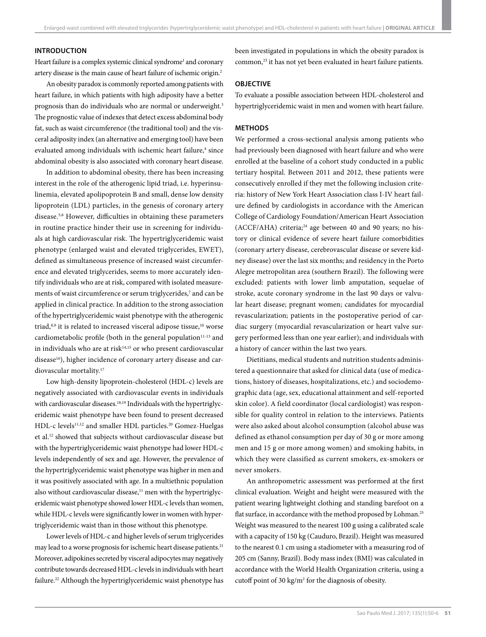#### **INTRODUCTION**

Heart failure is a complex systemic clinical syndrome<sup>1</sup> and coronary artery disease is the main cause of heart failure of ischemic origin.2

An obesity paradox is commonly reported among patients with heart failure, in which patients with high adiposity have a better prognosis than do individuals who are normal or underweight.<sup>3</sup> The prognostic value of indexes that detect excess abdominal body fat, such as waist circumference (the traditional tool) and the visceral adiposity index (an alternative and emerging tool) have been evaluated among individuals with ischemic heart failure,<sup>4</sup> since abdominal obesity is also associated with coronary heart disease.

In addition to abdominal obesity, there has been increasing interest in the role of the atherogenic lipid triad, i.e. hyperinsulinemia, elevated apolipoprotein B and small, dense low density lipoprotein (LDL) particles, in the genesis of coronary artery disease.5,6 However, difficulties in obtaining these parameters in routine practice hinder their use in screening for individuals at high cardiovascular risk. The hypertriglyceridemic waist phenotype (enlarged waist and elevated triglycerides, EWET), defined as simultaneous presence of increased waist circumference and elevated triglycerides, seems to more accurately identify individuals who are at risk, compared with isolated measurements of waist circumference or serum triglycerides,<sup>7</sup> and can be applied in clinical practice. In addition to the strong association of the hypertriglyceridemic waist phenotype with the atherogenic triad,<sup>8,9</sup> it is related to increased visceral adipose tissue,<sup>10</sup> worse cardiometabolic profile (both in the general population $11-13$  and in individuals who are at risk $14,15$  or who present cardiovascular disease<sup>16</sup>), higher incidence of coronary artery disease and cardiovascular mortality.17

Low high-density lipoprotein-cholesterol (HDL-c) levels are negatively associated with cardiovascular events in individuals with cardiovascular diseases.<sup>18,19</sup> Individuals with the hypertriglyceridemic waist phenotype have been found to present decreased HDL-c levels<sup>11,12</sup> and smaller HDL particles.<sup>20</sup> Gomez-Huelgas et al.12 showed that subjects without cardiovascular disease but with the hypertriglyceridemic waist phenotype had lower HDL-c levels independently of sex and age. However, the prevalence of the hypertriglyceridemic waist phenotype was higher in men and it was positively associated with age. In a multiethnic population also without cardiovascular disease, $11$  men with the hypertriglyceridemic waist phenotype showed lower HDL-c levels than women, while HDL-c levels were significantly lower in women with hypertriglyceridemic waist than in those without this phenotype.

Lower levels of HDL-c and higher levels of serum triglycerides may lead to a worse prognosis for ischemic heart disease patients.<sup>21</sup> Moreover, adipokines secreted by visceral adipocytes may negatively contribute towards decreased HDL-c levels in individuals with heart failure.<sup>22</sup> Although the hypertriglyceridemic waist phenotype has been investigated in populations in which the obesity paradox is common,<sup>23</sup> it has not yet been evaluated in heart failure patients.

# **OBJECTIVE**

To evaluate a possible association between HDL-cholesterol and hypertriglyceridemic waist in men and women with heart failure.

# **METHODS**

We performed a cross-sectional analysis among patients who had previously been diagnosed with heart failure and who were enrolled at the baseline of a cohort study conducted in a public tertiary hospital. Between 2011 and 2012, these patients were consecutively enrolled if they met the following inclusion criteria: history of New York Heart Association class I-IV heart failure defined by cardiologists in accordance with the American College of Cardiology Foundation/American Heart Association (ACCF/AHA) criteria;<sup>24</sup> age between 40 and 90 years; no history or clinical evidence of severe heart failure comorbidities (coronary artery disease, cerebrovascular disease or severe kidney disease) over the last six months; and residency in the Porto Alegre metropolitan area (southern Brazil). The following were excluded: patients with lower limb amputation, sequelae of stroke, acute coronary syndrome in the last 90 days or valvular heart disease; pregnant women; candidates for myocardial revascularization; patients in the postoperative period of cardiac surgery (myocardial revascularization or heart valve surgery performed less than one year earlier); and individuals with a history of cancer within the last two years.

Dietitians, medical students and nutrition students administered a questionnaire that asked for clinical data (use of medications, history of diseases, hospitalizations, etc.) and sociodemographic data (age, sex, educational attainment and self-reported skin color). A field coordinator (local cardiologist) was responsible for quality control in relation to the interviews. Patients were also asked about alcohol consumption (alcohol abuse was defined as ethanol consumption per day of 30 g or more among men and 15 g or more among women) and smoking habits, in which they were classified as current smokers, ex-smokers or never smokers.

An anthropometric assessment was performed at the first clinical evaluation. Weight and height were measured with the patient wearing lightweight clothing and standing barefoot on a flat surface, in accordance with the method proposed by Lohman.<sup>25</sup> Weight was measured to the nearest 100 g using a calibrated scale with a capacity of 150 kg (Cauduro, Brazil). Height was measured to the nearest 0.1 cm using a stadiometer with a measuring rod of 205 cm (Sanny, Brazil). Body mass index (BMI) was calculated in accordance with the World Health Organization criteria, using a cutoff point of 30 kg/ $m<sup>2</sup>$  for the diagnosis of obesity.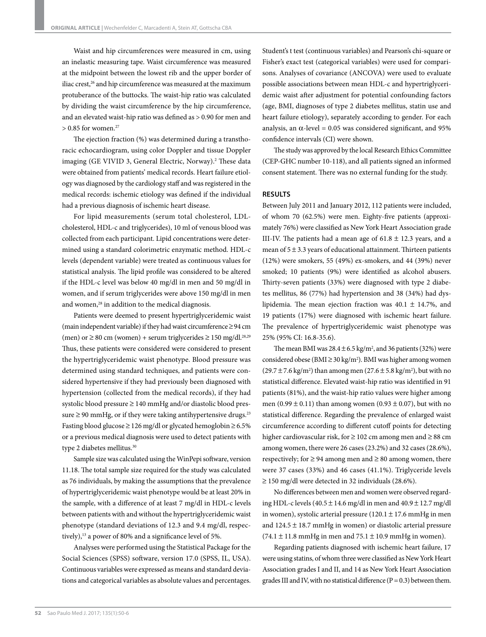Waist and hip circumferences were measured in cm, using an inelastic measuring tape. Waist circumference was measured at the midpoint between the lowest rib and the upper border of iliac crest,<sup>26</sup> and hip circumference was measured at the maximum protuberance of the buttocks. The waist-hip ratio was calculated by dividing the waist circumference by the hip circumference, and an elevated waist-hip ratio was defined as > 0.90 for men and  $> 0.85$  for women.<sup>27</sup>

The ejection fraction (%) was determined during a transthoracic echocardiogram, using color Doppler and tissue Doppler imaging (GE VIVID 3, General Electric, Norway).<sup>2</sup> These data were obtained from patients' medical records. Heart failure etiology was diagnosed by the cardiology staff and was registered in the medical records: ischemic etiology was defined if the individual had a previous diagnosis of ischemic heart disease.

For lipid measurements (serum total cholesterol, LDLcholesterol, HDL-c and triglycerides), 10 ml of venous blood was collected from each participant. Lipid concentrations were determined using a standard colorimetric enzymatic method. HDL-c levels (dependent variable) were treated as continuous values for statistical analysis. The lipid profile was considered to be altered if the HDL-c level was below 40 mg/dl in men and 50 mg/dl in women, and if serum triglycerides were above 150 mg/dl in men and women,<sup>28</sup> in addition to the medical diagnosis.

Patients were deemed to present hypertriglyceridemic waist (main independent variable) if they had waist circumference ≥ 94 cm (men) or  $\geq$  80 cm (women) + serum triglycerides  $\geq$  150 mg/dl.<sup>28,29</sup> Thus, these patients were considered were considered to present the hypertriglyceridemic waist phenotype. Blood pressure was determined using standard techniques, and patients were considered hypertensive if they had previously been diagnosed with hypertension (collected from the medical records), if they had systolic blood pressure ≥ 140 mmHg and/or diastolic blood pressure  $\geq$  90 mmHg, or if they were taking antihypertensive drugs.<sup>23</sup> Fasting blood glucose ≥ 126 mg/dl or glycated hemoglobin ≥ 6.5% or a previous medical diagnosis were used to detect patients with type 2 diabetes mellitus.30

Sample size was calculated using the WinPepi software, version 11.18. The total sample size required for the study was calculated as 76 individuals, by making the assumptions that the prevalence of hypertriglyceridemic waist phenotype would be at least 20% in the sample, with a difference of at least 7 mg/dl in HDL-c levels between patients with and without the hypertriglyceridemic waist phenotype (standard deviations of 12.3 and 9.4 mg/dl, respectively),<sup>13</sup> a power of 80% and a significance level of 5%.

Analyses were performed using the Statistical Package for the Social Sciences (SPSS) software, version 17.0 (SPSS, IL, USA). Continuous variables were expressed as means and standard deviations and categorical variables as absolute values and percentages.

Student's t test (continuous variables) and Pearson's chi-square or Fisher's exact test (categorical variables) were used for comparisons. Analyses of covariance (ANCOVA) were used to evaluate possible associations between mean HDL-c and hypertriglyceridemic waist after adjustment for potential confounding factors (age, BMI, diagnoses of type 2 diabetes mellitus, statin use and heart failure etiology), separately according to gender. For each analysis, an  $\alpha$ -level = 0.05 was considered significant, and 95% confidence intervals (CI) were shown.

The study was approved by the local Research Ethics Committee (CEP-GHC number 10-118), and all patients signed an informed consent statement. There was no external funding for the study.

#### **RESULTS**

Between July 2011 and January 2012, 112 patients were included, of whom 70 (62.5%) were men. Eighty-five patients (approximately 76%) were classified as New York Heart Association grade III-IV. The patients had a mean age of  $61.8 \pm 12.3$  years, and a mean of  $5 \pm 3.3$  years of educational attainment. Thirteen patients (12%) were smokers, 55 (49%) ex-smokers, and 44 (39%) never smoked; 10 patients (9%) were identified as alcohol abusers. Thirty-seven patients (33%) were diagnosed with type 2 diabetes mellitus, 86 (77%) had hypertension and 38 (34%) had dyslipidemia. The mean ejection fraction was  $40.1 \pm 14.7$ %, and 19 patients (17%) were diagnosed with ischemic heart failure. The prevalence of hypertriglyceridemic waist phenotype was 25% (95% CI: 16.8-35.6).

The mean BMI was  $28.4 \pm 6.5$  kg/m<sup>2</sup>, and 36 patients (32%) were considered obese ( $BMI \geq 30 \text{ kg/m}^2$ ). BMI was higher among women  $(29.7 \pm 7.6 \text{ kg/m}^2)$  than among men  $(27.6 \pm 5.8 \text{ kg/m}^2)$ , but with no statistical difference. Elevated waist-hip ratio was identified in 91 patients (81%), and the waist-hip ratio values were higher among men (0.99  $\pm$  0.11) than among women (0.93  $\pm$  0.07), but with no statistical difference. Regarding the prevalence of enlarged waist circumference according to different cutoff points for detecting higher cardiovascular risk, for ≥ 102 cm among men and ≥ 88 cm among women, there were 26 cases (23.2%) and 32 cases (28.6%), respectively; for  $\geq$  94 among men and  $\geq$  80 among women, there were 37 cases (33%) and 46 cases (41.1%). Triglyceride levels ≥ 150 mg/dl were detected in 32 individuals (28.6%).

No differences between men and women were observed regarding HDL-c levels  $(40.5 \pm 14.6 \text{ mg/dl} \cdot \text{m} \cdot \text{cm} \cdot \text{g/dl} \cdot \text{m} \cdot \text{g/dl} \cdot \text{m} \cdot \text{g/dl} \cdot \text{m} \cdot \text{g/dl} \cdot \text{m} \cdot \text{g/dl} \cdot \text{m} \cdot \text{g/dl} \cdot \text{m} \cdot \text{g/dl} \cdot \text{m} \cdot \text{g/dl} \cdot \text{m} \cdot \text{g/dl} \cdot \text{m} \cdot \text{g/dl} \cdot \text{m} \cdot \text{g/dl} \$ in women), systolic arterial pressure  $(120.1 \pm 17.6 \text{ mmHg}$  in men and 124.5 ± 18.7 mmHg in women) or diastolic arterial pressure  $(74.1 \pm 11.8 \text{ mmHg} \text{ in men and } 75.1 \pm 10.9 \text{ mmHg} \text{ in women}).$ 

Regarding patients diagnosed with ischemic heart failure, 17 were using statins, of whom three were classified as New York Heart Association grades I and II, and 14 as New York Heart Association grades III and IV, with no statistical difference  $(P = 0.3)$  between them.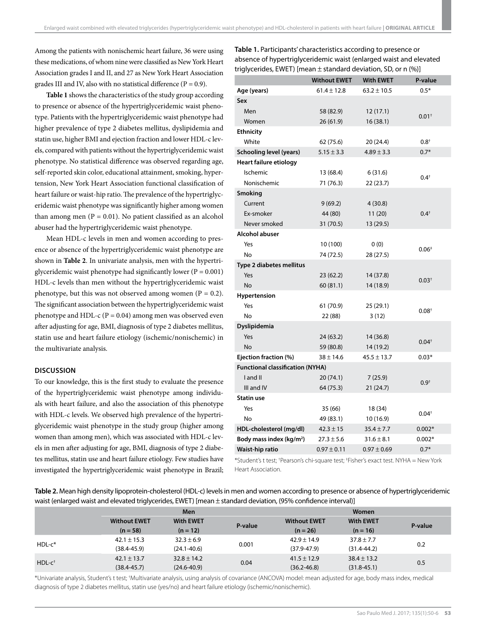Among the patients with nonischemic heart failure, 36 were using these medications, of whom nine were classified as New York Heart Association grades I and II, and 27 as New York Heart Association grades III and IV, also with no statistical difference ( $P = 0.9$ ).

**Table 1** shows the characteristics of the study group according to presence or absence of the hypertriglyceridemic waist phenotype. Patients with the hypertriglyceridemic waist phenotype had higher prevalence of type 2 diabetes mellitus, dyslipidemia and statin use, higher BMI and ejection fraction and lower HDL-c levels, compared with patients without the hypertriglyceridemic waist phenotype. No statistical difference was observed regarding age, self-reported skin color, educational attainment, smoking, hypertension, New York Heart Association functional classification of heart failure or waist-hip ratio. The prevalence of the hypertriglyceridemic waist phenotype was significantly higher among women than among men  $(P = 0.01)$ . No patient classified as an alcohol abuser had the hypertriglyceridemic waist phenotype.

Mean HDL-c levels in men and women according to presence or absence of the hypertriglyceridemic waist phenotype are shown in **Table 2**. In univariate analysis, men with the hypertriglyceridemic waist phenotype had significantly lower ( $P = 0.001$ ) HDL-c levels than men without the hypertriglyceridemic waist phenotype, but this was not observed among women  $(P = 0.2)$ . The significant association between the hypertriglyceridemic waist phenotype and HDL-c ( $P = 0.04$ ) among men was observed even after adjusting for age, BMI, diagnosis of type 2 diabetes mellitus, statin use and heart failure etiology (ischemic/nonischemic) in the multivariate analysis.

# **DISCUSSION**

To our knowledge, this is the first study to evaluate the presence of the hypertriglyceridemic waist phenotype among individuals with heart failure, and also the association of this phenotype with HDL-c levels. We observed high prevalence of the hypertriglyceridemic waist phenotype in the study group (higher among women than among men), which was associated with HDL-c levels in men after adjusting for age, BMI, diagnosis of type 2 diabetes mellitus, statin use and heart failure etiology. Few studies have investigated the hypertriglyceridemic waist phenotype in Brazil; **Table 1.** Participants' characteristics according to presence or absence of hypertriglyceridemic waist (enlarged waist and elevated triglycerides, EWET) [mean  $\pm$  standard deviation, SD, or n (%)]

|                                         | <b>Without EWET</b>   | <b>With EWET</b> | P-value    |  |  |  |  |  |
|-----------------------------------------|-----------------------|------------------|------------|--|--|--|--|--|
| Age (years)                             | $61.4 \pm 12.8$       | $63.2 \pm 10.5$  | $0.5*$     |  |  |  |  |  |
| Sex                                     |                       |                  |            |  |  |  |  |  |
| Men                                     | 58 (82.9)             | 12(17.1)         |            |  |  |  |  |  |
| Women                                   | 26 (61.9)             | 16(38.1)         | $0.01^{+}$ |  |  |  |  |  |
| <b>Ethnicity</b>                        |                       |                  |            |  |  |  |  |  |
| White                                   | 62 (75.6)             | 20 (24.4)        | $0.8^{+}$  |  |  |  |  |  |
| Schooling level (years)                 | $5.15 \pm 3.3$        | $4.89 \pm 3.3$   |            |  |  |  |  |  |
| Heart failure etiology                  |                       |                  |            |  |  |  |  |  |
| Ischemic                                | 13 (68.4)             | 6(31.6)          | $0.4^{+}$  |  |  |  |  |  |
| Nonischemic                             | 71 (76.3)             | 22 (23.7)        |            |  |  |  |  |  |
| <b>Smoking</b>                          |                       |                  |            |  |  |  |  |  |
| Current                                 | 9(69.2)               | 4(30.8)          |            |  |  |  |  |  |
| Ex-smoker                               | 44 (80)               | 11(20)           | $0.4^{+}$  |  |  |  |  |  |
| Never smoked                            | 31 (70.5)             | 13 (29.5)        |            |  |  |  |  |  |
| Alcohol abuser                          |                       |                  |            |  |  |  |  |  |
| Yes                                     | 10 (100)              | 0(0)             |            |  |  |  |  |  |
| No                                      | 74 (72.5)             | 28 (27.5)        | $0.06*$    |  |  |  |  |  |
| Type 2 diabetes mellitus                |                       |                  |            |  |  |  |  |  |
| Yes                                     | 23 (62.2)             | 14 (37.8)        |            |  |  |  |  |  |
| No                                      | 60(81.1)              | 14 (18.9)        | $0.03^{+}$ |  |  |  |  |  |
| Hypertension                            |                       |                  |            |  |  |  |  |  |
| Yes                                     | 61 (70.9)             | 25 (29.1)        |            |  |  |  |  |  |
| No                                      | 22 (88)               | 3(12)            | $0.08^{+}$ |  |  |  |  |  |
| Dyslipidemia                            |                       |                  |            |  |  |  |  |  |
| Yes                                     | 24 (63.2)             | 14 (36.8)        |            |  |  |  |  |  |
| No                                      | 59 (80.8)             | 14 (19.2)        | $0.04^{+}$ |  |  |  |  |  |
| Ejection fraction (%)                   | $38 \pm 14.6$         | $45.5 \pm 13.7$  | $0.03*$    |  |  |  |  |  |
| <b>Functional classification (NYHA)</b> |                       |                  |            |  |  |  |  |  |
| I and II                                | 20 (74.1)             | 7(25.9)          |            |  |  |  |  |  |
| III and IV                              | 64 (75.3)             | 21 (24.7)        | $0.9^{+}$  |  |  |  |  |  |
| <b>Statin use</b>                       |                       |                  |            |  |  |  |  |  |
| Yes                                     | 35 (66)               | 18 (34)          |            |  |  |  |  |  |
| No                                      | 49 (83.1)<br>10(16.9) |                  | $0.04^{+}$ |  |  |  |  |  |
| HDL-cholesterol (mg/dl)                 | $42.3 \pm 15$         | $35.4 \pm 7.7$   | $0.002*$   |  |  |  |  |  |
| Body mass index (kg/m <sup>2</sup> )    | $27.3 \pm 5.6$        | $31.6 \pm 8.1$   | $0.002*$   |  |  |  |  |  |
| Waist-hip ratio                         | $0.97 \pm 0.11$       | $0.97 \pm 0.69$  | $0.7*$     |  |  |  |  |  |

\*Student's t test; † Pearson's chi-square test; ‡ Fisher's exact test. NYHA = New York Heart Association.

**Table 2.** Mean high density lipoprotein-cholesterol (HDL-c) levels in men and women according to presence or absence of hypertriglyceridemic waist (enlarged waist and elevated triglycerides, EWET) [mean ± standard deviation, (95% confidence interval)]

|                      |                     | <b>Men</b>       |         |                     | Women            |         |  |
|----------------------|---------------------|------------------|---------|---------------------|------------------|---------|--|
|                      | <b>Without EWET</b> | <b>With EWET</b> | P-value | <b>Without EWET</b> | <b>With EWET</b> | P-value |  |
|                      | $(n = 58)$          | $(n = 12)$       |         | $(n = 26)$          | $(n = 16)$       |         |  |
| $HDL-c*$             | $42.1 \pm 15.3$     | $32.3 \pm 6.9$   | 0.001   | $42.9 \pm 14.9$     | $37.8 \pm 7.7$   | 0.2     |  |
|                      | $(38.4 - 45.9)$     | $(24.1 - 40.6)$  |         | $(37.9 - 47.9)$     | $(31.4 - 44.2)$  |         |  |
| $HDL-c$ <sup>†</sup> | $42.1 \pm 13.7$     | $32.8 \pm 14.2$  | 0.04    | $41.5 \pm 12.9$     | $38.4 \pm 13.2$  | 0.5     |  |
|                      | $(38.4 - 45.7)$     | $(24.6 - 40.9)$  |         | $(36.2 - 46.8)$     | $(31.8 - 45.1)$  |         |  |

\*Univariate analysis, Student's t test; †Multivariate analysis, using analysis of covariance (ANCOVA) model: mean adjusted for age, body mass index, medical diagnosis of type 2 diabetes mellitus, statin use (yes/no) and heart failure etiology (ischemic/nonischemic).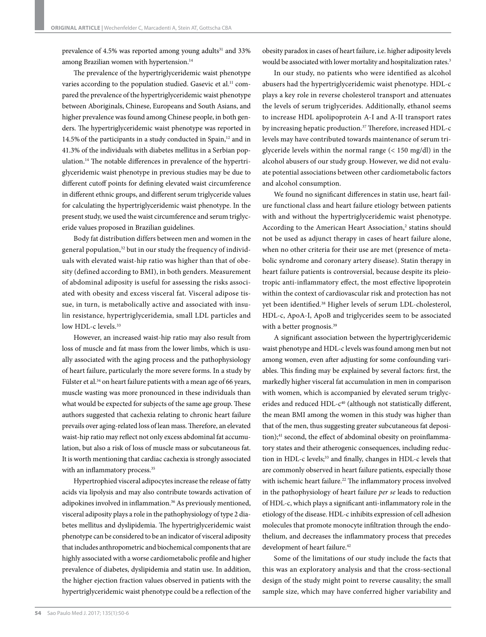prevalence of 4.5% was reported among young adults<sup>31</sup> and 33% among Brazilian women with hypertension.<sup>14</sup>

The prevalence of the hypertriglyceridemic waist phenotype varies according to the population studied. Gasevic et al.<sup>11</sup> compared the prevalence of the hypertriglyceridemic waist phenotype between Aboriginals, Chinese, Europeans and South Asians, and higher prevalence was found among Chinese people, in both genders. The hypertriglyceridemic waist phenotype was reported in 14.5% of the participants in a study conducted in Spain,<sup>12</sup> and in 41.3% of the individuals with diabetes mellitus in a Serbian population.14 The notable differences in prevalence of the hypertriglyceridemic waist phenotype in previous studies may be due to different cutoff points for defining elevated waist circumference in different ethnic groups, and different serum triglyceride values for calculating the hypertriglyceridemic waist phenotype. In the present study, we used the waist circumference and serum triglyceride values proposed in Brazilian guidelines.

Body fat distribution differs between men and women in the general population,<sup>32</sup> but in our study the frequency of individuals with elevated waist-hip ratio was higher than that of obesity (defined according to BMI), in both genders. Measurement of abdominal adiposity is useful for assessing the risks associated with obesity and excess visceral fat. Visceral adipose tissue, in turn, is metabolically active and associated with insulin resistance, hypertriglyceridemia, small LDL particles and low HDL-c levels.<sup>33</sup>

However, an increased waist-hip ratio may also result from loss of muscle and fat mass from the lower limbs, which is usually associated with the aging process and the pathophysiology of heart failure, particularly the more severe forms. In a study by Fülster et al.<sup>34</sup> on heart failure patients with a mean age of 66 years, muscle wasting was more pronounced in these individuals than what would be expected for subjects of the same age group. These authors suggested that cachexia relating to chronic heart failure prevails over aging-related loss of lean mass. Therefore, an elevated waist-hip ratio may reflect not only excess abdominal fat accumulation, but also a risk of loss of muscle mass or subcutaneous fat. It is worth mentioning that cardiac cachexia is strongly associated with an inflammatory process.<sup>35</sup>

Hypertrophied visceral adipocytes increase the release of fatty acids via lipolysis and may also contribute towards activation of adipokines involved in inflammation.36 As previously mentioned, visceral adiposity plays a role in the pathophysiology of type 2 diabetes mellitus and dyslipidemia. The hypertriglyceridemic waist phenotype can be considered to be an indicator of visceral adiposity that includes anthropometric and biochemical components that are highly associated with a worse cardiometabolic profile and higher prevalence of diabetes, dyslipidemia and statin use. In addition, the higher ejection fraction values observed in patients with the hypertriglyceridemic waist phenotype could be a reflection of the

obesity paradox in cases of heart failure, i.e. higher adiposity levels would be associated with lower mortality and hospitalization rates.<sup>3</sup>

In our study, no patients who were identified as alcohol abusers had the hypertriglyceridemic waist phenotype. HDL-c plays a key role in reverse cholesterol transport and attenuates the levels of serum triglycerides. Additionally, ethanol seems to increase HDL apolipoprotein A-I and A-II transport rates by increasing hepatic production.<sup>37</sup> Therefore, increased HDL-c levels may have contributed towards maintenance of serum triglyceride levels within the normal range (< 150 mg/dl) in the alcohol abusers of our study group. However, we did not evaluate potential associations between other cardiometabolic factors and alcohol consumption.

We found no significant differences in statin use, heart failure functional class and heart failure etiology between patients with and without the hypertriglyceridemic waist phenotype. According to the American Heart Association,<sup>2</sup> statins should not be used as adjunct therapy in cases of heart failure alone, when no other criteria for their use are met (presence of metabolic syndrome and coronary artery disease). Statin therapy in heart failure patients is controversial, because despite its pleiotropic anti-inflammatory effect, the most effective lipoprotein within the context of cardiovascular risk and protection has not yet been identified.<sup>38</sup> Higher levels of serum LDL-cholesterol, HDL-c, ApoA-I, ApoB and triglycerides seem to be associated with a better prognosis.<sup>39</sup>

A significant association between the hypertriglyceridemic waist phenotype and HDL-c levels was found among men but not among women, even after adjusting for some confounding variables. This finding may be explained by several factors: first, the markedly higher visceral fat accumulation in men in comparison with women, which is accompanied by elevated serum triglycerides and reduced HDL-c<sup>40</sup> (although not statistically different, the mean BMI among the women in this study was higher than that of the men, thus suggesting greater subcutaneous fat deposition);<sup>41</sup> second, the effect of abdominal obesity on proinflammatory states and their atherogenic consequences, including reduction in HDL-c levels;<sup>33</sup> and finally, changes in HDL-c levels that are commonly observed in heart failure patients, especially those with ischemic heart failure.<sup>22</sup> The inflammatory process involved in the pathophysiology of heart failure *per se* leads to reduction of HDL-c, which plays a significant anti-inflammatory role in the etiology of the disease. HDL-c inhibits expression of cell adhesion molecules that promote monocyte infiltration through the endothelium, and decreases the inflammatory process that precedes development of heart failure.<sup>42</sup>

Some of the limitations of our study include the facts that this was an exploratory analysis and that the cross-sectional design of the study might point to reverse causality; the small sample size, which may have conferred higher variability and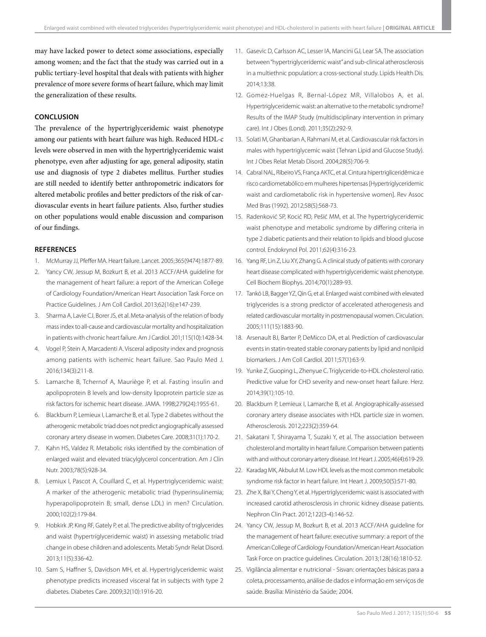may have lacked power to detect some associations, especially among women; and the fact that the study was carried out in a public tertiary-level hospital that deals with patients with higher prevalence of more severe forms of heart failure, which may limit the generalization of these results.

# **CONCLUSION**

The prevalence of the hypertriglyceridemic waist phenotype among our patients with heart failure was high. Reduced HDL-c levels were observed in men with the hypertriglyceridemic waist phenotype, even after adjusting for age, general adiposity, statin use and diagnosis of type 2 diabetes mellitus. Further studies are still needed to identify better anthropometric indicators for altered metabolic profiles and better predictors of the risk of cardiovascular events in heart failure patients. Also, further studies on other populations would enable discussion and comparison of our findings.

#### **REFERENCES**

- 1. McMurray JJ, Pfeffer MA. Heart failure. Lancet. 2005;365(9474):1877-89.
- 2. Yancy CW, Jessup M, Bozkurt B, et al. 2013 ACCF/AHA guideline for the management of heart failure: a report of the American College of Cardiology Foundation/American Heart Association Task Force on Practice Guidelines. J Am Coll Cardiol. 2013;62(16):e147-239.
- 3. Sharma A, Lavie CJ, Borer JS, et al. Meta-analysis of the relation of body mass index to all-cause and cardiovascular mortality and hospitalization in patients with chronic heart failure. Am J Cardiol. 201;115(10):1428-34.
- 4. Vogel P, Stein A, Marcadenti A. Visceral adiposity index and prognosis among patients with ischemic heart failure. Sao Paulo Med J. 2016;134(3):211-8.
- 5. Lamarche B, Tchernof A, Mauriège P, et al. Fasting insulin and apolipoprotein B levels and low-density lipoprotein particle size as risk factors for ischemic heart disease. JAMA. 1998;279(24):1955-61.
- 6. Blackburn P, Lemieux I, Lamarche B, et al. Type 2 diabetes without the atherogenic metabolic triad does not predict angiographically assessed coronary artery disease in women. Diabetes Care. 2008;31(1):170-2.
- 7. Kahn HS, Valdez R. Metabolic risks identified by the combination of enlarged waist and elevated triacylglycerol concentration. Am J Clin Nutr. 2003;78(5):928-34.
- 8. Lemiux I, Pascot A, Couillard C, et al. Hypertriglyceridemic waist: A marker of the atherogenic metabolic triad (hyperinsulinemia; hyperapolipoprotein B; small, dense LDL) in men? Circulation. 2000;102(2):179-84.
- 9. Hobkirk JP, King RF, Gately P, et al. The predictive ability of triglycerides and waist (hypertriglyceridemic waist) in assessing metabolic triad change in obese children and adolescents. Metab Syndr Relat Disord. 2013;11(5):336-42.
- 10. Sam S, Haffner S, Davidson MH, et al. Hypertriglyceridemic waist phenotype predicts increased visceral fat in subjects with type 2 diabetes. Diabetes Care. 2009;32(10):1916-20.
- 11. Gasevic D, Carlsson AC, Lesser IA, Mancini GJ, Lear SA. The association between "hypertriglyceridemic waist" and sub-clinical atherosclerosis in a multiethnic population: a cross-sectional study. Lipids Health Dis. 2014;13:38.
- 12. Gomez-Huelgas R, Bernal-López MR, Villalobos A, et al. Hypertriglyceridemic waist: an alternative to the metabolic syndrome? Results of the IMAP Study (multidisciplinary intervention in primary care). Int J Obes (Lond). 2011;35(2):292-9.
- 13. Solati M, Ghanbarian A, Rahmani M, et al. Cardiovascular risk factors in males with hypertriglycemic waist (Tehran Lipid and Glucose Study). Int J Obes Relat Metab Disord. 2004;28(5):706-9.
- 14. Cabral NAL, Ribeiro VS, França AKTC, et al. Cintura hipertrigliceridêmica e risco cardiometabólico em mulheres hipertensas [Hypertriglyceridemic waist and cardiometabolic risk in hypertensive women]. Rev Assoc Med Bras (1992). 2012;58(5):568-73.
- 15. Radenković SP, Kocić RD, Pešić MM, et al. The hypertriglyceridemic waist phenotype and metabolic syndrome by differing criteria in type 2 diabetic patients and their relation to lipids and blood glucose control. Endokrynol Pol. 2011;62(4):316-23.
- 16. Yang RF, Lin Z, Liu XY, Zhang G. A clinical study of patients with coronary heart disease complicated with hypertriglyceridemic waist phenotype. Cell Biochem Biophys. 2014;70(1):289-93.
- 17. Tankó LB, Bagger YZ, Qin G, et al. Enlarged waist combined with elevated triglycerides is a strong predictor of accelerated atherogenesis and related cardiovascular mortality in postmenopausal women. Circulation. 2005;111(15):1883-90.
- 18. Arsenault BJ, Barter P, DeMicco DA, et al. Prediction of cardiovascular events in statin-treated stable coronary patients by lipid and nonlipid biomarkers. J Am Coll Cardiol. 2011;57(1):63-9.
- 19. Yunke Z, Guoping L, Zhenyue C. Triglyceride-to-HDL cholesterol ratio. Predictive value for CHD severity and new-onset heart failure. Herz. 2014;39(1):105-10.
- 20. Blackburn P, Lemieux I, Lamarche B, et al. Angiographically-assessed coronary artery disease associates with HDL particle size in women. Atherosclerosis. 2012;223(2):359-64.
- 21. Sakatani T, Shirayama T, Suzaki Y, et al. The association between cholesterol and mortality in heart failure. Comparison between patients with and without coronary artery disease. Int Heart J. 2005;46(4):619-29.
- 22. Karadag MK, Akbulut M. Low HDL levels as the most common metabolic syndrome risk factor in heart failure. Int Heart J. 2009;50(5):571-80.
- 23. Zhe X, Bai Y, Cheng Y, et al. Hypertriglyceridemic waist is associated with increased carotid atherosclerosis in chronic kidney disease patients. Nephron Clin Pract. 2012;122(3-4):146-52.
- 24. Yancy CW, Jessup M, Bozkurt B, et al. 2013 ACCF/AHA guideline for the management of heart failure: executive summary: a report of the American College of Cardiology Foundation/American Heart Association Task Force on practice guidelines. Circulation. 2013;128(16):1810-52.
- 25. Vigilância alimentar e nutricional Sisvan: orientações básicas para a coleta, processamento, análise de dados e informação em serviços de saúde. Brasília: Ministério da Saúde; 2004.